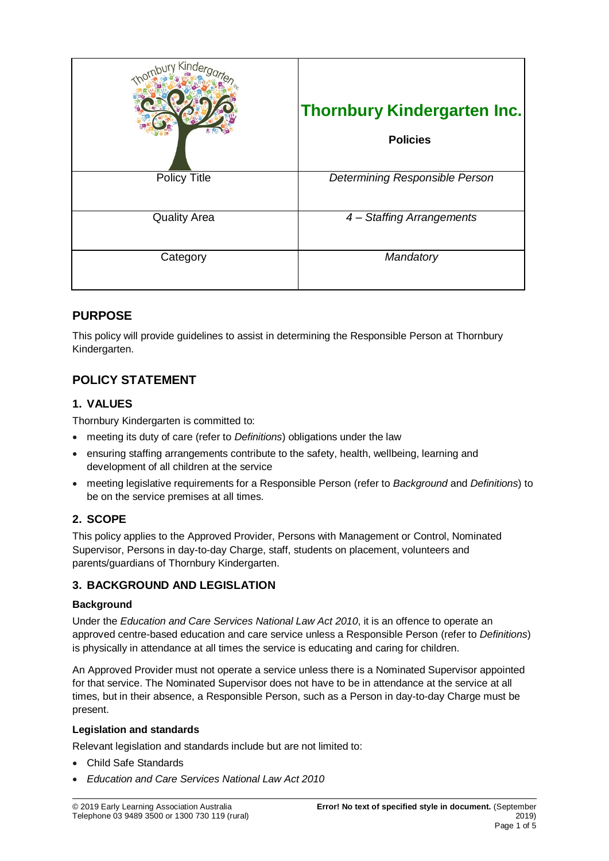| King                | <b>Thornbury Kindergarten Inc.</b><br><b>Policies</b> |
|---------------------|-------------------------------------------------------|
| <b>Policy Title</b> | Determining Responsible Person                        |
| <b>Quality Area</b> | 4 - Staffing Arrangements                             |
| Category            | Mandatory                                             |

## **PURPOSE**

This policy will provide guidelines to assist in determining the Responsible Person at Thornbury Kindergarten.

# **POLICY STATEMENT**

### **1. VALUES**

Thornbury Kindergarten is committed to:

- meeting its duty of care (refer to *Definitions*) obligations under the law
- ensuring staffing arrangements contribute to the safety, health, wellbeing, learning and development of all children at the service
- meeting legislative requirements for a Responsible Person (refer to *Background* and *Definitions*) to be on the service premises at all times.

## **2. SCOPE**

This policy applies to the Approved Provider, Persons with Management or Control, Nominated Supervisor, Persons in day-to-day Charge, staff, students on placement, volunteers and parents/guardians of Thornbury Kindergarten.

### **3. BACKGROUND AND LEGISLATION**

### **Background**

Under the *Education and Care Services National Law Act 2010*, it is an offence to operate an approved centre-based education and care service unless a Responsible Person (refer to *Definitions*) is physically in attendance at all times the service is educating and caring for children.

An Approved Provider must not operate a service unless there is a Nominated Supervisor appointed for that service. The Nominated Supervisor does not have to be in attendance at the service at all times, but in their absence, a Responsible Person, such as a Person in day-to-day Charge must be present.

### **Legislation and standards**

Relevant legislation and standards include but are not limited to:

- Child Safe Standards
- *Education and Care Services National Law Act 2010*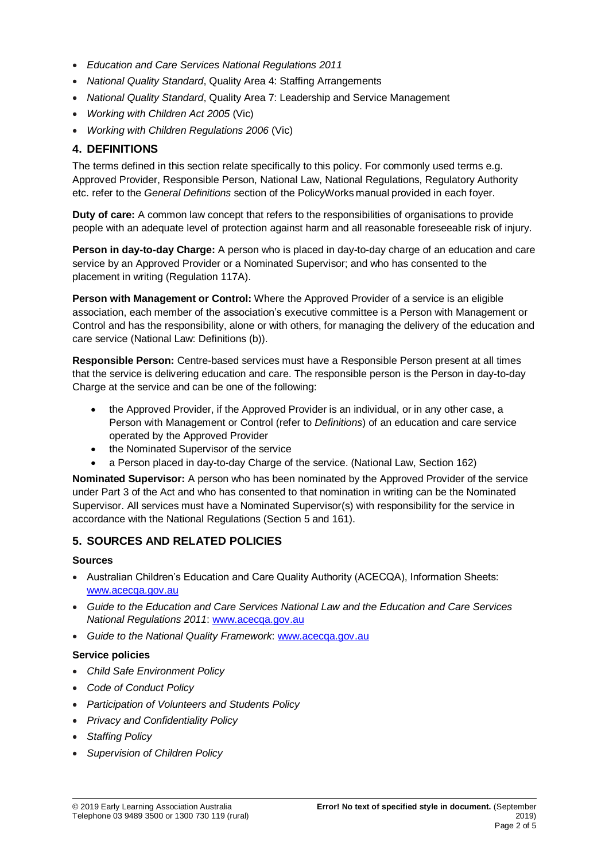- *Education and Care Services National Regulations 2011*
- *National Quality Standard*, Quality Area 4: Staffing Arrangements
- *National Quality Standard*, Quality Area 7: Leadership and Service Management
- *Working with Children Act 2005* (Vic)
- *Working with Children Regulations 2006* (Vic)

### **4. DEFINITIONS**

The terms defined in this section relate specifically to this policy. For commonly used terms e.g. Approved Provider, Responsible Person, National Law, National Regulations, Regulatory Authority etc. refer to the *General Definitions* section of the PolicyWorks manual provided in each foyer.

**Duty of care:** A common law concept that refers to the responsibilities of organisations to provide people with an adequate level of protection against harm and all reasonable foreseeable risk of injury.

**Person in day-to-day Charge:** A person who is placed in day-to-day charge of an education and care service by an Approved Provider or a Nominated Supervisor; and who has consented to the placement in writing (Regulation 117A).

**Person with Management or Control:** Where the Approved Provider of a service is an eligible association, each member of the association's executive committee is a Person with Management or Control and has the responsibility, alone or with others, for managing the delivery of the education and care service (National Law: Definitions (b)).

**Responsible Person:** Centre-based services must have a Responsible Person present at all times that the service is delivering education and care. The responsible person is the Person in day-to-day Charge at the service and can be one of the following:

- the Approved Provider, if the Approved Provider is an individual, or in any other case, a Person with Management or Control (refer to *Definitions*) of an education and care service operated by the Approved Provider
- the Nominated Supervisor of the service
- a Person placed in day-to-day Charge of the service. (National Law, Section 162)

**Nominated Supervisor:** A person who has been nominated by the Approved Provider of the service under Part 3 of the Act and who has consented to that nomination in writing can be the Nominated Supervisor. All services must have a Nominated Supervisor(s) with responsibility for the service in accordance with the National Regulations (Section 5 and 161).

### **5. SOURCES AND RELATED POLICIES**

#### **Sources**

- Australian Children's Education and Care Quality Authority (ACECQA), Information Sheets: [www.acecqa.gov.au](http://www.acecqa.gov.au/)
- *Guide to the Education and Care Services National Law and the Education and Care Services National Regulations 2011*: [www.acecqa.gov.au](http://www.acecqa.gov.au/)
- *Guide to the National Quality Framework*: [www.acecqa.gov.au](http://www.acecqa.gov.au/)

#### **Service policies**

- *Child Safe Environment Policy*
- *Code of Conduct Policy*
- *Participation of Volunteers and Students Policy*
- *Privacy and Confidentiality Policy*
- *Staffing Policy*
- *Supervision of Children Policy*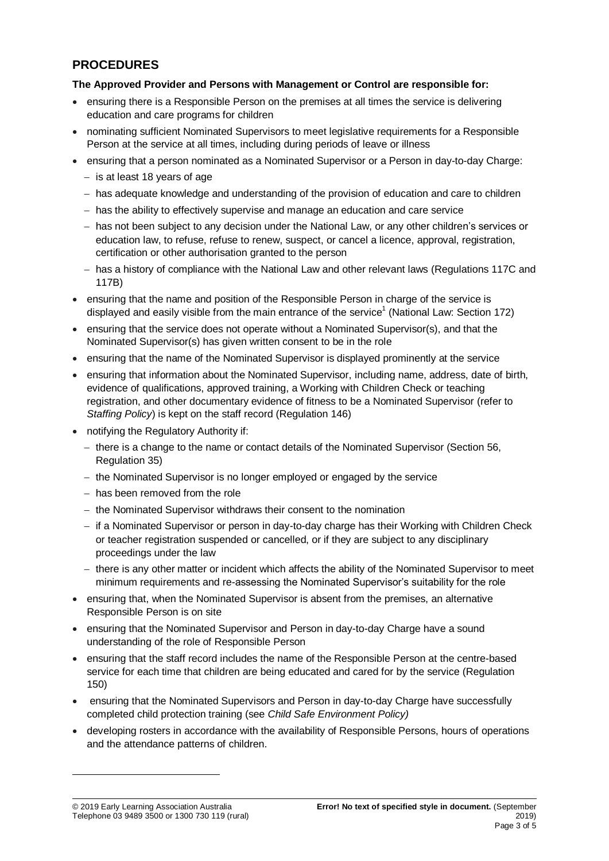## **PROCEDURES**

### **The Approved Provider and Persons with Management or Control are responsible for:**

- ensuring there is a Responsible Person on the premises at all times the service is delivering education and care programs for children
- nominating sufficient Nominated Supervisors to meet legislative requirements for a Responsible Person at the service at all times, including during periods of leave or illness
- ensuring that a person nominated as a Nominated Supervisor or a Person in day-to-day Charge:
	- $-$  is at least 18 years of age
	- has adequate knowledge and understanding of the provision of education and care to children
	- $-$  has the ability to effectively supervise and manage an education and care service
	- has not been subject to any decision under the National Law, or any other children's services or education law, to refuse, refuse to renew, suspect, or cancel a licence, approval, registration, certification or other authorisation granted to the person
	- has a history of compliance with the National Law and other relevant laws (Regulations 117C and 117B)
- ensuring that the name and position of the Responsible Person in charge of the service is displayed and easily visible from the main entrance of the service<sup>1</sup> (National Law: Section 172)
- ensuring that the service does not operate without a Nominated Supervisor(s), and that the Nominated Supervisor(s) has given written consent to be in the role
- ensuring that the name of the Nominated Supervisor is displayed prominently at the service
- ensuring that information about the Nominated Supervisor, including name, address, date of birth, evidence of qualifications, approved training, a Working with Children Check or teaching registration, and other documentary evidence of fitness to be a Nominated Supervisor (refer to *Staffing Policy*) is kept on the staff record (Regulation 146)
- notifying the Regulatory Authority if:
	- $-$  there is a change to the name or contact details of the Nominated Supervisor (Section 56, Regulation 35)
	- $-$  the Nominated Supervisor is no longer employed or engaged by the service
	- $-$  has been removed from the role
	- $-$  the Nominated Supervisor withdraws their consent to the nomination
	- if a Nominated Supervisor or person in day-to-day charge has their Working with Children Check or teacher registration suspended or cancelled, or if they are subject to any disciplinary proceedings under the law
	- there is any other matter or incident which affects the ability of the Nominated Supervisor to meet minimum requirements and re-assessing the Nominated Supervisor's suitability for the role
- ensuring that, when the Nominated Supervisor is absent from the premises, an alternative Responsible Person is on site
- **ensuring that the Nominated Supervisor and Person in day-to-day Charge have a sound** understanding of the role of Responsible Person
- ensuring that the staff record includes the name of the Responsible Person at the centre-based service for each time that children are being educated and cared for by the service (Regulation 150)
- ensuring that the Nominated Supervisors and Person in day-to-day Charge have successfully completed child protection training (see *Child Safe Environment Policy)*
- developing rosters in accordance with the availability of Responsible Persons, hours of operations and the attendance patterns of children.

-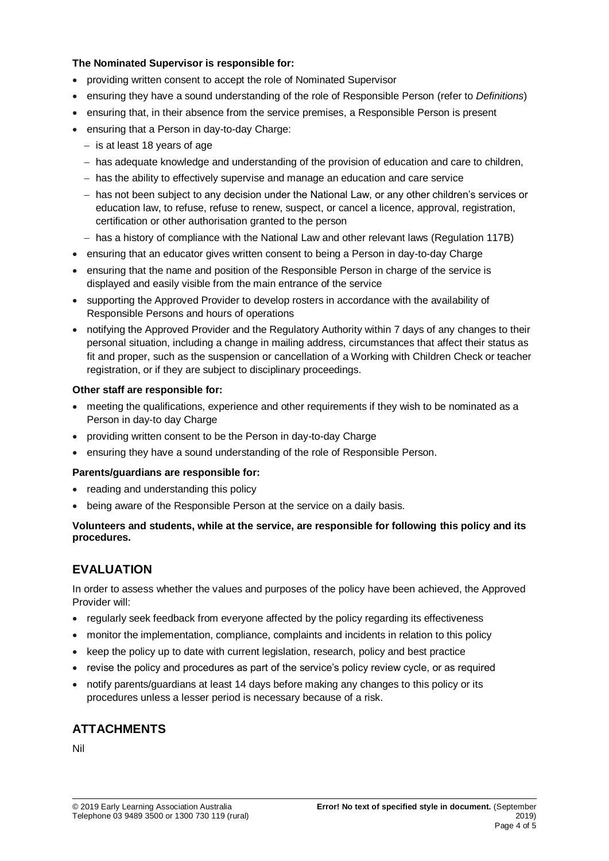### **The Nominated Supervisor is responsible for:**

- providing written consent to accept the role of Nominated Supervisor
- ensuring they have a sound understanding of the role of Responsible Person (refer to *Definitions*)
- ensuring that, in their absence from the service premises, a Responsible Person is present
- ensuring that a Person in day-to-day Charge:
	- $-$  is at least 18 years of age
	- has adequate knowledge and understanding of the provision of education and care to children,
	- $-$  has the ability to effectively supervise and manage an education and care service
	- has not been subject to any decision under the National Law, or any other children's services or education law, to refuse, refuse to renew, suspect, or cancel a licence, approval, registration, certification or other authorisation granted to the person
	- has a history of compliance with the National Law and other relevant laws (Regulation 117B)
- ensuring that an educator gives written consent to being a Person in day-to-day Charge
- ensuring that the name and position of the Responsible Person in charge of the service is displayed and easily visible from the main entrance of the service
- supporting the Approved Provider to develop rosters in accordance with the availability of Responsible Persons and hours of operations
- notifying the Approved Provider and the Regulatory Authority within 7 days of any changes to their personal situation, including a change in mailing address, circumstances that affect their status as fit and proper, such as the suspension or cancellation of a Working with Children Check or teacher registration, or if they are subject to disciplinary proceedings.

#### **Other staff are responsible for:**

- meeting the qualifications, experience and other requirements if they wish to be nominated as a Person in day-to day Charge
- providing written consent to be the Person in day-to-day Charge
- ensuring they have a sound understanding of the role of Responsible Person.

#### **Parents/guardians are responsible for:**

- reading and understanding this policy
- being aware of the Responsible Person at the service on a daily basis.

#### **Volunteers and students, while at the service, are responsible for following this policy and its procedures.**

## **EVALUATION**

In order to assess whether the values and purposes of the policy have been achieved, the Approved Provider will:

- regularly seek feedback from everyone affected by the policy regarding its effectiveness
- monitor the implementation, compliance, complaints and incidents in relation to this policy
- keep the policy up to date with current legislation, research, policy and best practice
- revise the policy and procedures as part of the service's policy review cycle, or as required
- notify parents/guardians at least 14 days before making any changes to this policy or its procedures unless a lesser period is necessary because of a risk.

## **ATTACHMENTS**

Nil